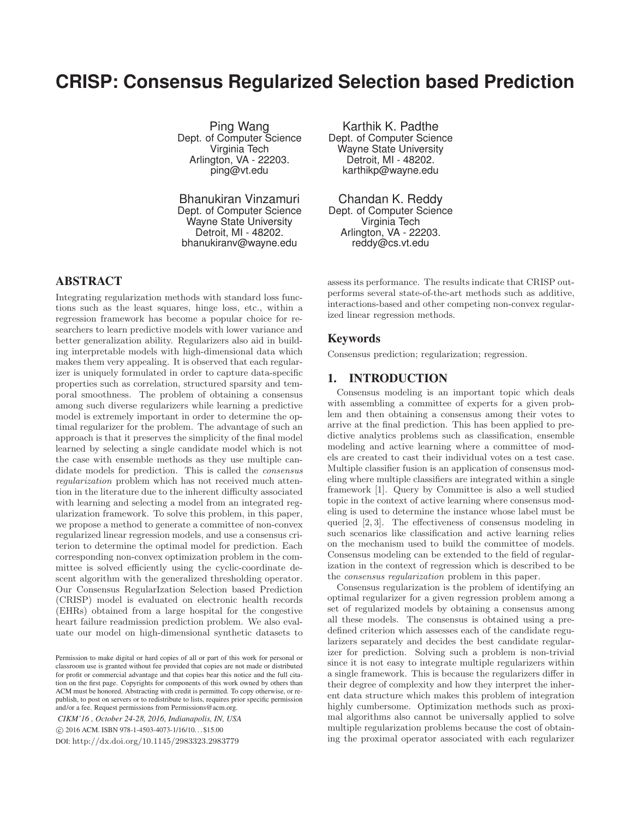# **CRISP: Consensus Regularized Selection based Prediction**

Ping Wang Dept. of Computer Science Virginia Tech Arlington, VA - 22203. ping@vt.edu

Bhanukiran Vinzamuri Dept. of Computer Science Wayne State University Detroit, MI - 48202. bhanukiranv@wayne.edu

# ABSTRACT

Integrating regularization methods with standard loss functions such as the least squares, hinge loss, etc., within a regression framework has become a popular choice for researchers to learn predictive models with lower variance and better generalization ability. Regularizers also aid in building interpretable models with high-dimensional data which makes them very appealing. It is observed that each regularizer is uniquely formulated in order to capture data-specific properties such as correlation, structured sparsity and temporal smoothness. The problem of obtaining a consensus among such diverse regularizers while learning a predictive model is extremely important in order to determine the optimal regularizer for the problem. The advantage of such an approach is that it preserves the simplicity of the final model learned by selecting a single candidate model which is not the case with ensemble methods as they use multiple candidate models for prediction. This is called the *consensus regularization* problem which has not received much attention in the literature due to the inherent difficulty associated with learning and selecting a model from an integrated regularization framework. To solve this problem, in this paper, we propose a method to generate a committee of non-convex regularized linear regression models, and use a consensus criterion to determine the optimal model for prediction. Each corresponding non-convex optimization problem in the committee is solved efficiently using the cyclic-coordinate descent algorithm with the generalized thresholding operator. Our Consensus RegularIzation Selection based Prediction (CRISP) model is evaluated on electronic health records (EHRs) obtained from a large hospital for the congestive heart failure readmission prediction problem. We also evaluate our model on high-dimensional synthetic datasets to

*CIKM'16 , October 24-28, 2016, Indianapolis, IN, USA* -c 2016 ACM. ISBN 978-1-4503-4073-1/16/10. . . \$15.00 DOI: http://dx.doi.org/10.1145/2983323.2983779

Karthik K. Padthe Dept. of Computer Science Wayne State University Detroit, MI - 48202. karthikp@wayne.edu

Chandan K. Reddy Dept. of Computer Science Virginia Tech Arlington, VA - 22203. reddy@cs.vt.edu

assess its performance. The results indicate that CRISP outperforms several state-of-the-art methods such as additive, interactions-based and other competing non-convex regularized linear regression methods.

## Keywords

Consensus prediction; regularization; regression.

# 1. INTRODUCTION

Consensus modeling is an important topic which deals with assembling a committee of experts for a given problem and then obtaining a consensus among their votes to arrive at the final prediction. This has been applied to predictive analytics problems such as classification, ensemble modeling and active learning where a committee of models are created to cast their individual votes on a test case. Multiple classifier fusion is an application of consensus modeling where multiple classifiers are integrated within a single framework [1]. Query by Committee is also a well studied topic in the context of active learning where consensus modeling is used to determine the instance whose label must be queried [2, 3]. The effectiveness of consensus modeling in such scenarios like classification and active learning relies on the mechanism used to build the committee of models. Consensus modeling can be extended to the field of regularization in the context of regression which is described to be the *consensus regularization* problem in this paper.

Consensus regularization is the problem of identifying an optimal regularizer for a given regression problem among a set of regularized models by obtaining a consensus among all these models. The consensus is obtained using a predefined criterion which assesses each of the candidate regularizers separately and decides the best candidate regularizer for prediction. Solving such a problem is non-trivial since it is not easy to integrate multiple regularizers within a single framework. This is because the regularizers differ in their degree of complexity and how they interpret the inherent data structure which makes this problem of integration highly cumbersome. Optimization methods such as proximal algorithms also cannot be universally applied to solve multiple regularization problems because the cost of obtaining the proximal operator associated with each regularizer

Permission to make digital or hard copies of all or part of this work for personal or classroom use is granted without fee provided that copies are not made or distributed for profit or commercial advantage and that copies bear this notice and the full citation on the first page. Copyrights for components of this work owned by others than ACM must be honored. Abstracting with credit is permitted. To copy otherwise, or republish, to post on servers or to redistribute to lists, requires prior specific permission and/or a fee. Request permissions from Permissions@acm.org.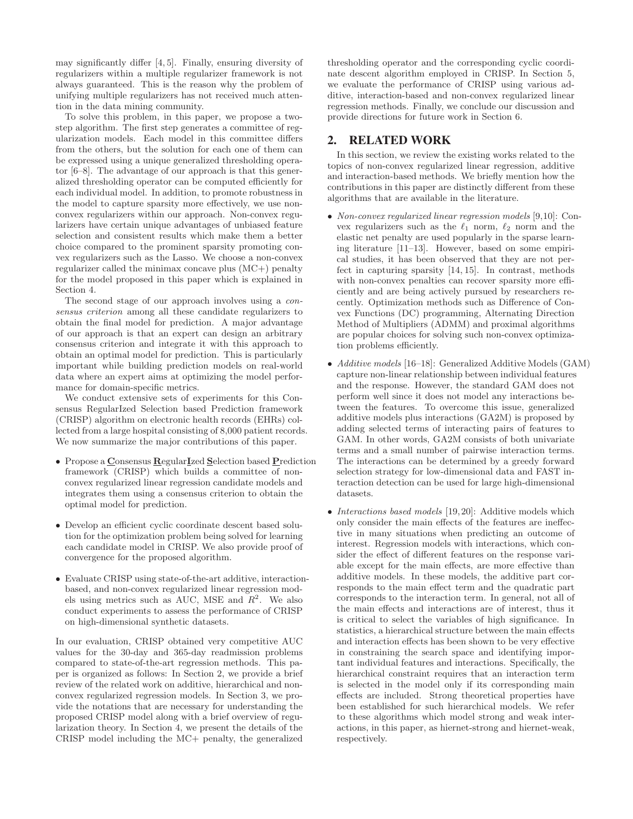may significantly differ [4, 5]. Finally, ensuring diversity of regularizers within a multiple regularizer framework is not always guaranteed. This is the reason why the problem of unifying multiple regularizers has not received much attention in the data mining community.

To solve this problem, in this paper, we propose a twostep algorithm. The first step generates a committee of regularization models. Each model in this committee differs from the others, but the solution for each one of them can be expressed using a unique generalized thresholding operator [6–8]. The advantage of our approach is that this generalized thresholding operator can be computed efficiently for each individual model. In addition, to promote robustness in the model to capture sparsity more effectively, we use nonconvex regularizers within our approach. Non-convex regularizers have certain unique advantages of unbiased feature selection and consistent results which make them a better choice compared to the prominent sparsity promoting convex regularizers such as the Lasso. We choose a non-convex regularizer called the minimax concave plus (MC+) penalty for the model proposed in this paper which is explained in Section 4.

The second stage of our approach involves using a *consensus criterion* among all these candidate regularizers to obtain the final model for prediction. A major advantage of our approach is that an expert can design an arbitrary consensus criterion and integrate it with this approach to obtain an optimal model for prediction. This is particularly important while building prediction models on real-world data where an expert aims at optimizing the model performance for domain-specific metrics.

We conduct extensive sets of experiments for this Consensus RegularIzed Selection based Prediction framework (CRISP) algorithm on electronic health records (EHRs) collected from a large hospital consisting of 8,000 patient records. We now summarize the major contributions of this paper.

- Propose a **C**onsensus **R**egular**I**zed **S**election based **P**rediction framework (CRISP) which builds a committee of nonconvex regularized linear regression candidate models and integrates them using a consensus criterion to obtain the optimal model for prediction.
- Develop an efficient cyclic coordinate descent based solution for the optimization problem being solved for learning each candidate model in CRISP. We also provide proof of convergence for the proposed algorithm.
- Evaluate CRISP using state-of-the-art additive, interactionbased, and non-convex regularized linear regression models using metrics such as AUC, MSE and  $R^2$ . We also conduct experiments to assess the performance of CRISP on high-dimensional synthetic datasets.

In our evaluation, CRISP obtained very competitive AUC values for the 30-day and 365-day readmission problems compared to state-of-the-art regression methods. This paper is organized as follows: In Section 2, we provide a brief review of the related work on additive, hierarchical and nonconvex regularized regression models. In Section 3, we provide the notations that are necessary for understanding the proposed CRISP model along with a brief overview of regularization theory. In Section 4, we present the details of the CRISP model including the MC+ penalty, the generalized thresholding operator and the corresponding cyclic coordinate descent algorithm employed in CRISP. In Section 5, we evaluate the performance of CRISP using various additive, interaction-based and non-convex regularized linear regression methods. Finally, we conclude our discussion and provide directions for future work in Section 6.

# 2. RELATED WORK

In this section, we review the existing works related to the topics of non-convex regularized linear regression, additive and interaction-based methods. We briefly mention how the contributions in this paper are distinctly different from these algorithms that are available in the literature.

- *Non-convex regularized linear regression models* [9,10]: Convex regularizers such as the  $\ell_1$  norm,  $\ell_2$  norm and the elastic net penalty are used popularly in the sparse learning literature [11–13]. However, based on some empirical studies, it has been observed that they are not perfect in capturing sparsity [14, 15]. In contrast, methods with non-convex penalties can recover sparsity more efficiently and are being actively pursued by researchers recently. Optimization methods such as Difference of Convex Functions (DC) programming, Alternating Direction Method of Multipliers (ADMM) and proximal algorithms are popular choices for solving such non-convex optimization problems efficiently.
- *Additive models* [16–18]: Generalized Additive Models (GAM) capture non-linear relationship between individual features and the response. However, the standard GAM does not perform well since it does not model any interactions between the features. To overcome this issue, generalized additive models plus interactions (GA2M) is proposed by adding selected terms of interacting pairs of features to GAM. In other words, GA2M consists of both univariate terms and a small number of pairwise interaction terms. The interactions can be determined by a greedy forward selection strategy for low-dimensional data and FAST interaction detection can be used for large high-dimensional datasets.
- *Interactions based models* [19, 20]: Additive models which only consider the main effects of the features are ineffective in many situations when predicting an outcome of interest. Regression models with interactions, which consider the effect of different features on the response variable except for the main effects, are more effective than additive models. In these models, the additive part corresponds to the main effect term and the quadratic part corresponds to the interaction term. In general, not all of the main effects and interactions are of interest, thus it is critical to select the variables of high significance. In statistics, a hierarchical structure between the main effects and interaction effects has been shown to be very effective in constraining the search space and identifying important individual features and interactions. Specifically, the hierarchical constraint requires that an interaction term is selected in the model only if its corresponding main effects are included. Strong theoretical properties have been established for such hierarchical models. We refer to these algorithms which model strong and weak interactions, in this paper, as hiernet-strong and hiernet-weak, respectively.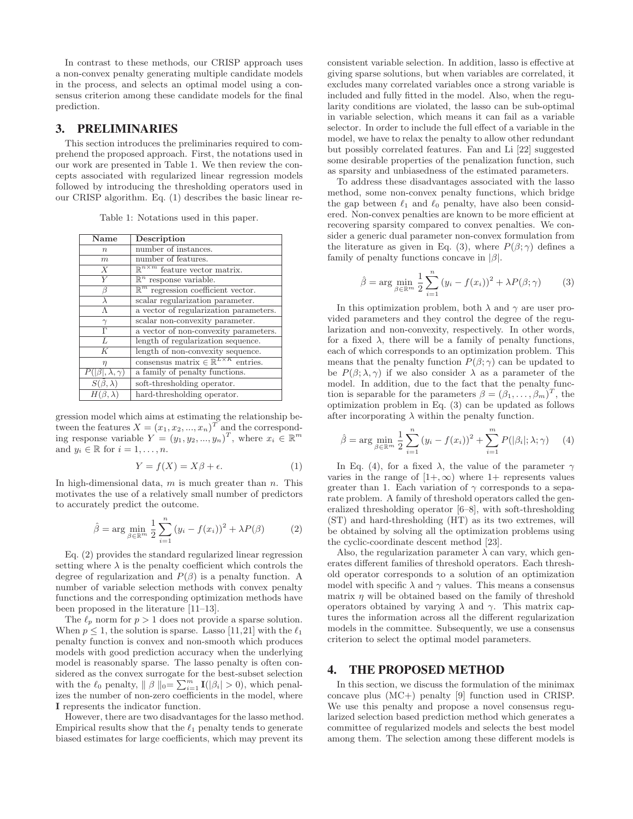In contrast to these methods, our CRISP approach uses a non-convex penalty generating multiple candidate models in the process, and selects an optimal model using a consensus criterion among these candidate models for the final prediction.

# 3. PRELIMINARIES

This section introduces the preliminaries required to comprehend the proposed approach. First, the notations used in our work are presented in Table 1. We then review the concepts associated with regularized linear regression models followed by introducing the thresholding operators used in our CRISP algorithm. Eq. (1) describes the basic linear re-

Table 1: Notations used in this paper.

| Name                        | Description                                             |
|-----------------------------|---------------------------------------------------------|
| $\boldsymbol{n}$            | number of instances.                                    |
| $\boldsymbol{m}$            | number of features.                                     |
| $\boldsymbol{X}$            | $\mathbb{R}^{n \times m}$ feature vector matrix.        |
| $\overline{Y}$              | $\mathbb{R}^n$ response variable.                       |
| ß                           | $\mathbb{R}^m$ regression coefficient vector.           |
| $\lambda$                   | scalar regularization parameter.                        |
| Λ                           | a vector of regularization parameters.                  |
| $\gamma$                    | scalar non-convexity parameter.                         |
| $\overline{\Gamma}$         | a vector of non-convexity parameters.                   |
| $\overline{L}$              | length of regularization sequence.                      |
| K                           | length of non-convexity sequence.                       |
| $\eta$                      | consensus matrix $\in \mathbb{R}^{L \times K}$ entries. |
| $P( \beta ,\lambda,\gamma)$ | a family of penalty functions.                          |
| $S(\beta,\lambda)$          | soft-thresholding operator.                             |
| $H(\beta,\lambda)$          | hard-thresholding operator.                             |

gression model which aims at estimating the relationship between the features  $X = (x_1, x_2, ..., x_n)^T$  and the corresponding response variable  $Y = (y_1, y_2, ..., y_n)^T$ , where  $x_i \in \mathbb{R}^m$ and  $y_i \in \mathbb{R}$  for  $i = 1, \ldots, n$ .

$$
Y = f(X) = X\beta + \epsilon. \tag{1}
$$

In high-dimensional data,  $m$  is much greater than  $n$ . This motivates the use of a relatively small number of predictors to accurately predict the outcome.

$$
\hat{\beta} = \arg \min_{\beta \in \mathbb{R}^m} \frac{1}{2} \sum_{i=1}^n (y_i - f(x_i))^2 + \lambda P(\beta) \tag{2}
$$

Eq. (2) provides the standard regularized linear regression setting where  $\lambda$  is the penalty coefficient which controls the degree of regularization and  $P(\beta)$  is a penalty function. A number of variable selection methods with convex penalty functions and the corresponding optimization methods have been proposed in the literature [11–13].

The  $\ell_p$  norm for  $p > 1$  does not provide a sparse solution. When  $p \leq 1$ , the solution is sparse. Lasso [11,21] with the  $\ell_1$ penalty function is convex and non-smooth which produces models with good prediction accuracy when the underlying model is reasonably sparse. The lasso penalty is often considered as the convex surrogate for the best-subset selection with the  $\ell_0$  penalty,  $\|\beta\|_0 = \sum_{i=1}^m \mathbf{I}(|\beta_i| > 0)$ , which penalizes the number of non-zero coefficients in the model, where **I** represents the indicator function.

However, there are two disadvantages for the lasso method. Empirical results show that the  $\ell_1$  penalty tends to generate biased estimates for large coefficients, which may prevent its consistent variable selection. In addition, lasso is effective at giving sparse solutions, but when variables are correlated, it excludes many correlated variables once a strong variable is included and fully fitted in the model. Also, when the regularity conditions are violated, the lasso can be sub-optimal in variable selection, which means it can fail as a variable selector. In order to include the full effect of a variable in the model, we have to relax the penalty to allow other redundant but possibly correlated features. Fan and Li [22] suggested some desirable properties of the penalization function, such as sparsity and unbiasedness of the estimated parameters.

To address these disadvantages associated with the lasso method, some non-convex penalty functions, which bridge the gap between  $\ell_1$  and  $\ell_0$  penalty, have also been considered. Non-convex penalties are known to be more efficient at recovering sparsity compared to convex penalties. We consider a generic dual parameter non-convex formulation from the literature as given in Eq. (3), where  $P(\beta; \gamma)$  defines a family of penalty functions concave in  $|\beta|$ .

$$
\hat{\beta} = \arg\min_{\beta \in \mathbb{R}^m} \frac{1}{2} \sum_{i=1}^n (y_i - f(x_i))^2 + \lambda P(\beta; \gamma) \tag{3}
$$

In this optimization problem, both  $\lambda$  and  $\gamma$  are user provided parameters and they control the degree of the regularization and non-convexity, respectively. In other words, for a fixed  $\lambda$ , there will be a family of penalty functions, each of which corresponds to an optimization problem. This means that the penalty function  $P(\beta; \gamma)$  can be updated to be  $P(\beta; \lambda, \gamma)$  if we also consider  $\lambda$  as a parameter of the model. In addition, due to the fact that the penalty function is separable for the parameters  $\beta = (\beta_1, \dots, \beta_m)^T$ , the optimization problem in Eq. (3) can be updated as follows after incorporating  $\lambda$  within the penalty function.

$$
\hat{\beta} = \arg \min_{\beta \in \mathbb{R}^m} \frac{1}{2} \sum_{i=1}^n (y_i - f(x_i))^2 + \sum_{i=1}^m P(|\beta_i|; \lambda; \gamma) \tag{4}
$$

In Eq. (4), for a fixed  $\lambda$ , the value of the parameter  $\gamma$ varies in the range of  $[1+\infty)$  where  $1+\text{ represents values}$ greater than 1. Each variation of  $\gamma$  corresponds to a separate problem. A family of threshold operators called the generalized thresholding operator [6–8], with soft-thresholding (ST) and hard-thresholding (HT) as its two extremes, will be obtained by solving all the optimization problems using the cyclic-coordinate descent method [23].

Also, the regularization parameter  $\lambda$  can vary, which generates different families of threshold operators. Each threshold operator corresponds to a solution of an optimization model with specific  $\lambda$  and  $\gamma$  values. This means a consensus matrix  $\eta$  will be obtained based on the family of threshold operators obtained by varying  $\lambda$  and  $\gamma$ . This matrix captures the information across all the different regularization models in the committee. Subsequently, we use a consensus criterion to select the optimal model parameters.

## 4. THE PROPOSED METHOD

In this section, we discuss the formulation of the minimax concave plus (MC+) penalty [9] function used in CRISP. We use this penalty and propose a novel consensus regularized selection based prediction method which generates a committee of regularized models and selects the best model among them. The selection among these different models is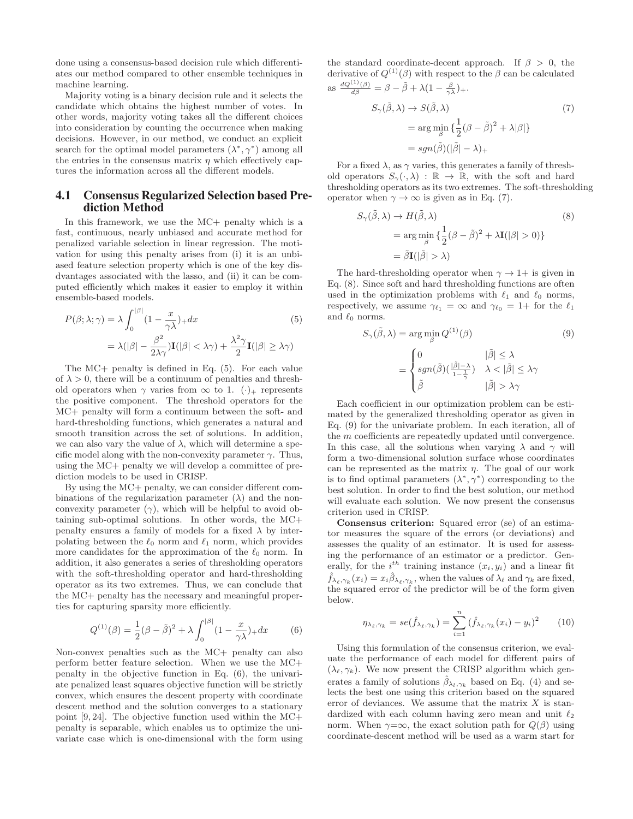done using a consensus-based decision rule which differentiates our method compared to other ensemble techniques in machine learning.

Majority voting is a binary decision rule and it selects the candidate which obtains the highest number of votes. In other words, majority voting takes all the different choices into consideration by counting the occurrence when making decisions. However, in our method, we conduct an explicit search for the optimal model parameters  $(\lambda^*, \gamma^*)$  among all the entries in the consensus matrix  $\eta$  which effectively captures the information across all the different models.

## 4.1 Consensus Regularized Selection based Prediction Method

In this framework, we use the MC+ penalty which is a fast, continuous, nearly unbiased and accurate method for penalized variable selection in linear regression. The motivation for using this penalty arises from (i) it is an unbiased feature selection property which is one of the key disdvantages associated with the lasso, and (ii) it can be computed efficiently which makes it easier to employ it within ensemble-based models.

$$
P(\beta; \lambda; \gamma) = \lambda \int_0^{|\beta|} (1 - \frac{x}{\gamma \lambda}) + dx
$$
\n
$$
= \lambda (|\beta| - \frac{\beta^2}{2\lambda \gamma}) \mathbf{I}(|\beta| < \lambda \gamma) + \frac{\lambda^2 \gamma}{2} \mathbf{I}(|\beta| \ge \lambda \gamma)
$$
\n(5)

The MC+ penalty is defined in Eq. (5). For each value of  $\lambda > 0$ , there will be a continuum of penalties and threshold operators when  $\gamma$  varies from  $\infty$  to 1.  $(\cdot)_+$  represents the positive component. The threshold operators for the MC+ penalty will form a continuum between the soft- and hard-thresholding functions, which generates a natural and smooth transition across the set of solutions. In addition, we can also vary the value of  $\lambda$ , which will determine a specific model along with the non-convexity parameter  $\gamma$ . Thus, using the MC+ penalty we will develop a committee of prediction models to be used in CRISP.

By using the MC+ penalty, we can consider different combinations of the regularization parameter  $(\lambda)$  and the nonconvexity parameter  $(\gamma)$ , which will be helpful to avoid obtaining sub-optimal solutions. In other words, the MC+ penalty ensures a family of models for a fixed  $\lambda$  by interpolating between the  $\ell_0$  norm and  $\ell_1$  norm, which provides more candidates for the approximation of the  $\ell_0$  norm. In addition, it also generates a series of thresholding operators with the soft-thresholding operator and hard-thresholding operator as its two extremes. Thus, we can conclude that the MC+ penalty has the necessary and meaningful properties for capturing sparsity more efficiently.

$$
Q^{(1)}(\beta) = \frac{1}{2}(\beta - \tilde{\beta})^2 + \lambda \int_0^{|\beta|} (1 - \frac{x}{\gamma \lambda}) + dx \tag{6}
$$

Non-convex penalties such as the MC+ penalty can also perform better feature selection. When we use the MC+ penalty in the objective function in Eq. (6), the univariate penalized least squares objective function will be strictly convex, which ensures the descent property with coordinate descent method and the solution converges to a stationary point [9, 24]. The objective function used within the MC+ penalty is separable, which enables us to optimize the univariate case which is one-dimensional with the form using the standard coordinate-decent approach. If  $\beta > 0$ , the derivative of  $Q^{(1)}(\beta)$  with respect to the  $\beta$  can be calculated as  $\frac{dQ^{(1)}(\beta)}{d\beta} = \beta - \tilde{\beta} + \lambda(1 - \frac{\beta}{\gamma \lambda}) +$ .

$$
S_{\gamma}(\tilde{\beta}, \lambda) \to S(\tilde{\beta}, \lambda)
$$
  
= arg min  $\{\frac{1}{2}(\beta - \tilde{\beta})^2 + \lambda |\beta|\}$   
= sgn $(\tilde{\beta})(|\tilde{\beta}| - \lambda)_+$  (7)

For a fixed  $\lambda$ , as  $\gamma$  varies, this generates a family of threshold operators  $S_{\gamma}(\cdot, \lambda) : \mathbb{R} \to \mathbb{R}$ , with the soft and hard thresholding operators as its two extremes. The soft-thresholding operator when  $\gamma \to \infty$  is given as in Eq. (7).

$$
S_{\gamma}(\tilde{\beta}, \lambda) \to H(\tilde{\beta}, \lambda)
$$
  
= arg min <sub>$\beta$</sub>  { $\frac{1}{2}$ ( $\beta - \tilde{\beta}$ )<sup>2</sup> +  $\lambda$ **I**( $|\beta| > 0$ )}  
=  $\tilde{\beta}$ **I**( $|\tilde{\beta}| > \lambda$ ) (8)

The hard-thresholding operator when  $\gamma \rightarrow 1+$  is given in Eq. (8). Since soft and hard thresholding functions are often used in the optimization problems with  $\ell_1$  and  $\ell_0$  norms, respectively, we assume  $\gamma_{\ell_1} = \infty$  and  $\gamma_{\ell_0} = 1 +$  for the  $\ell_1$ and  $\ell_0$  norms.

$$
S_{\gamma}(\tilde{\beta}, \lambda) = \arg\min_{\beta} Q^{(1)}(\beta)
$$
 (9)

$$
= \begin{cases} 0 & |\tilde{\beta}| \leq \lambda \\ sgn(\tilde{\beta})(\frac{|\tilde{\beta}| - \lambda}{1 - \frac{1}{\gamma}}) & \lambda < |\tilde{\beta}| \leq \lambda \gamma \\ \tilde{\beta} & |\tilde{\beta}| > \lambda \gamma \end{cases}
$$

Each coefficient in our optimization problem can be estimated by the generalized thresholding operator as given in Eq. (9) for the univariate problem. In each iteration, all of the m coefficients are repeatedly updated until convergence. In this case, all the solutions when varying  $\lambda$  and  $\gamma$  will form a two-dimensional solution surface whose coordinates can be represented as the matrix  $\eta$ . The goal of our work is to find optimal parameters  $(\lambda^*, \gamma^*)$  corresponding to the best solution. In order to find the best solution, our method will evaluate each solution. We now present the consensus criterion used in CRISP.

**Consensus criterion:** Squared error (se) of an estimator measures the square of the errors (or deviations) and assesses the quality of an estimator. It is used for assessing the performance of an estimator or a predictor. Generally, for the  $i^{th}$  training instance  $(x_i, y_i)$  and a linear fit  $\hat{f}_{\lambda_{\ell},\gamma_{k}}(x_{i}) = x_{i}\hat{\beta}_{\lambda_{\ell},\gamma_{k}}$ , when the values of  $\lambda_{\ell}$  and  $\gamma_{k}$  are fixed, the squared error of the predictor will be of the form given below.

$$
\eta_{\lambda_{\ell},\gamma_{k}} = se(\hat{f}_{\lambda_{\ell},\gamma_{k}}) = \sum_{i=1}^{n} (\hat{f}_{\lambda_{\ell},\gamma_{k}}(x_{i}) - y_{i})^{2} \qquad (10)
$$

Using this formulation of the consensus criterion, we evaluate the performance of each model for different pairs of  $(\lambda_{\ell}, \gamma_k)$ . We now present the CRISP algorithm which generates a family of solutions  $\hat{\beta}_{\lambda_l,\gamma_k}$  based on Eq. (4) and selects the best one using this criterion based on the squared error of deviances. We assume that the matrix  $X$  is standardized with each column having zero mean and unit  $\ell_2$ norm. When  $\gamma = \infty$ , the exact solution path for  $Q(\beta)$  using coordinate-descent method will be used as a warm start for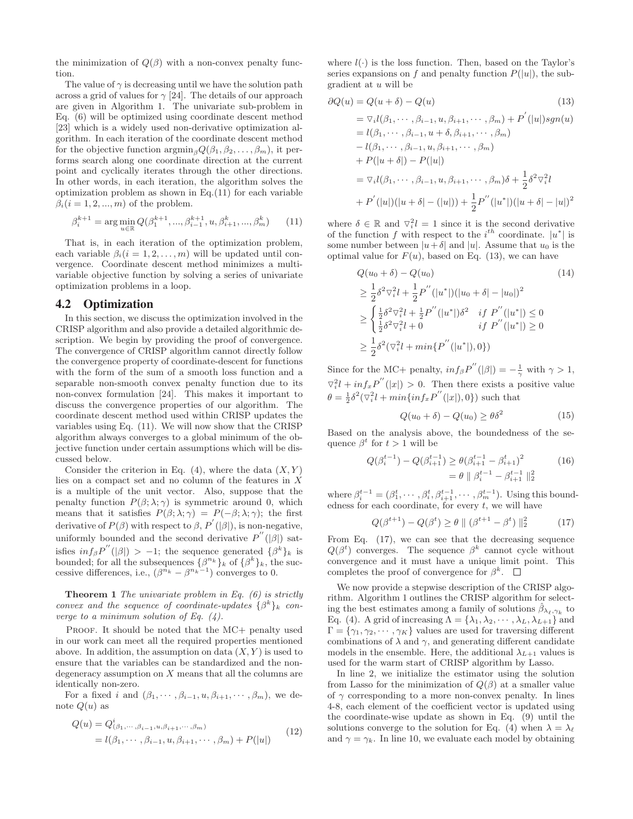the minimization of  $Q(\beta)$  with a non-convex penalty function.

The value of  $\gamma$  is decreasing until we have the solution path across a grid of values for  $\gamma$  [24]. The details of our approach are given in Algorithm 1. The univariate sub-problem in Eq. (6) will be optimized using coordinate descent method [23] which is a widely used non-derivative optimization algorithm. In each iteration of the coordinate descent method for the objective function  $\arg\min_{\beta} Q(\beta_1, \beta_2, \ldots, \beta_m)$ , it performs search along one coordinate direction at the current point and cyclically iterates through the other directions. In other words, in each iteration, the algorithm solves the optimization problem as shown in Eq.(11) for each variable  $\beta_i$  (i = 1, 2, ..., m) of the problem.

$$
\beta_i^{k+1} = \arg\min_{u \in \mathbb{R}} Q(\beta_1^{k+1}, \dots, \beta_{i-1}^{k+1}, u, \beta_{i+1}^k, \dots, \beta_m^k) \tag{11}
$$

That is, in each iteration of the optimization problem, each variable  $\beta_i$  (i = 1, 2, ..., m) will be updated until convergence. Coordinate descent method minimizes a multivariable objective function by solving a series of univariate optimization problems in a loop.

#### 4.2 Optimization

In this section, we discuss the optimization involved in the CRISP algorithm and also provide a detailed algorithmic description. We begin by providing the proof of convergence. The convergence of CRISP algorithm cannot directly follow the convergence property of coordinate-descent for functions with the form of the sum of a smooth loss function and a separable non-smooth convex penalty function due to its non-convex formulation [24]. This makes it important to discuss the convergence properties of our algorithm. The coordinate descent method used within CRISP updates the variables using Eq. (11). We will now show that the CRISP algorithm always converges to a global minimum of the objective function under certain assumptions which will be discussed below.

Consider the criterion in Eq.  $(4)$ , where the data  $(X, Y)$ lies on a compact set and no column of the features in X is a multiple of the unit vector. Also, suppose that the penalty function  $P(\beta; \lambda; \gamma)$  is symmetric around 0, which means that it satisfies  $P(\beta; \lambda; \gamma) = P(-\beta; \lambda; \gamma)$ ; the first derivative of  $P(\beta)$  with respect to  $\beta$ ,  $P'(|\beta|)$ , is non-negative, uniformly bounded and the second derivative  $P''(|\beta|)$  satisfies  $inf_{\beta}P''(|\beta|) > -1$ ; the sequence generated  $\{\beta^k\}_k$  is bounded; for all the subsequences  $\{\beta^{n_k}\}_k$  of  $\{\beta^k\}_k$ , the successive differences, i.e.,  $(\beta^{n_k} - \beta^{n_k-1})$  converges to 0.

**Theorem 1** *The univariate problem in Eq. (6) is strictly convex and the sequence of coordinate-updates*  $\{\beta^k\}_k$  *converge to a minimum solution of Eq. (4).*

PROOF. It should be noted that the MC+ penalty used in our work can meet all the required properties mentioned above. In addition, the assumption on data  $(X, Y)$  is used to ensure that the variables can be standardized and the nondegeneracy assumption on X means that all the columns are identically non-zero.

For a fixed i and  $(\beta_1, \cdots, \beta_{i-1}, u, \beta_{i+1}, \cdots, \beta_m)$ , we denote  $Q(u)$  as

$$
Q(u) = Q^{i}_{(\beta_{1}, \cdots, \beta_{i-1}, u, \beta_{i+1}, \cdots, \beta_{m})}
$$
  
=  $l(\beta_{1}, \cdots, \beta_{i-1}, u, \beta_{i+1}, \cdots, \beta_{m}) + P(|u|)$  (12)

where  $l(\cdot)$  is the loss function. Then, based on the Taylor's series expansions on f and penalty function  $P(|u|)$ , the subgradient at u will be

$$
\partial Q(u) = Q(u + \delta) - Q(u)
$$
(13)  
=  $\nabla_i l(\beta_1, \dots, \beta_{i-1}, u, \beta_{i+1}, \dots, \beta_m) + P'(|u|) sgn(u)$   
=  $l(\beta_1, \dots, \beta_{i-1}, u + \delta, \beta_{i+1}, \dots, \beta_m)$   
 $- l(\beta_1, \dots, \beta_{i-1}, u, \beta_{i+1}, \dots, \beta_m)$   
+  $P(|u + \delta|) - P(|u|)$   
=  $\nabla_i l(\beta_1, \dots, \beta_{i-1}, u, \beta_{i+1}, \dots, \beta_m) \delta + \frac{1}{2} \delta^2 \nabla_i^2 l$   
+  $P'(|u|)(|u + \delta| - (|u|)) + \frac{1}{2} P''(|u^*|)(|u + \delta| - |u|)^2$ 

where  $\delta \in \mathbb{R}$  and  $\nabla_i^2 l = 1$  since it is the second derivative of the function f with respect to the  $i^{th}$  coordinate.  $|u^*|$  is some number between  $|u+\delta|$  and  $|u|$ . Assume that  $u_0$  is the optimal value for  $F(u)$ , based on Eq. (13), we can have

$$
Q(u_0 + \delta) - Q(u_0)
$$
\n
$$
\geq \frac{1}{2}\delta^2 \nabla_i^2 l + \frac{1}{2}P''(|u^*|)(|u_0 + \delta| - |u_0|)^2
$$
\n
$$
\geq \begin{cases} \frac{1}{2}\delta^2 \nabla_i^2 l + \frac{1}{2}P''(|u^*|)\delta^2 & \text{if } P''(|u^*|) \leq 0\\ \frac{1}{2}\delta^2 \nabla_i^2 l + 0 & \text{if } P''(|u^*|) \geq 0 \end{cases}
$$
\n
$$
\geq \frac{1}{2}\delta^2(\nabla_i^2 l + \min\{P''(|u^*|), 0\})
$$
\n
$$
(14)
$$

Since for the MC+ penalty,  $inf_{\beta} P''(|\beta|) = -\frac{1}{\gamma}$  with  $\gamma > 1$ ,  $\nabla_i^2 l + inf_x P''(|x|) > 0$ . Then there exists a positive value  $\theta = \frac{1}{2}\delta^2(\nabla_i^2 l + \min\{\inf_x P''(|x|), 0\})$  such that

$$
Q(u_0 + \delta) - Q(u_0) \ge \theta \delta^2 \tag{15}
$$

Based on the analysis above, the boundedness of the sequence  $\beta^t$  for  $t > 1$  will be

$$
Q(\beta_i^{t-1}) - Q(\beta_{i+1}^{t-1}) \ge \theta(\beta_{i+1}^{t-1} - \beta_{i+1}^t)^2
$$
\n
$$
= \theta \parallel \beta_i^{t-1} - \beta_{i+1}^{t-1} \parallel_2^2
$$
\n(16)

where  $\beta_i^{t-1} = (\beta_1^t, \dots, \beta_i^t, \beta_{i+1}^{t-1}, \dots, \beta_m^{t-1})$ . Using this boundedness for each coordinate, for every  $t$ , we will have

$$
Q(\beta^{t+1}) - Q(\beta^t) \ge \theta \parallel (\beta^{t+1} - \beta^t) \parallel_2^2 \tag{17}
$$

From Eq. (17), we can see that the decreasing sequence  $Q(\beta^t)$  converges. The sequence  $\beta^k$  cannot cycle without convergence and it must have a unique limit point. This completes the proof of convergence for  $\beta^k$ .  $\Box$ 

We now provide a stepwise description of the CRISP algorithm. Algorithm 1 outlines the CRISP algorithm for selecting the best estimates among a family of solutions  $\beta_{\lambda_{\ell},\gamma_{k}}$  to Eq. (4). A grid of increasing  $\Lambda = {\lambda_1, \lambda_2, \cdots, \lambda_L, \lambda_{L+1}}$  and  $\Gamma = \{\gamma_1, \gamma_2, \cdots, \gamma_K\}$  values are used for traversing different combinations of  $\lambda$  and  $\gamma$ , and generating different candidate models in the ensemble. Here, the additional  $\lambda_{L+1}$  values is used for the warm start of CRISP algorithm by Lasso.

In line 2, we initialize the estimator using the solution from Lasso for the minimization of  $Q(\beta)$  at a smaller value of  $\gamma$  corresponding to a more non-convex penalty. In lines 4-8, each element of the coefficient vector is updated using the coordinate-wise update as shown in Eq. (9) until the solutions converge to the solution for Eq. (4) when  $\lambda = \lambda_{\ell}$ and  $\gamma = \gamma_k$ . In line 10, we evaluate each model by obtaining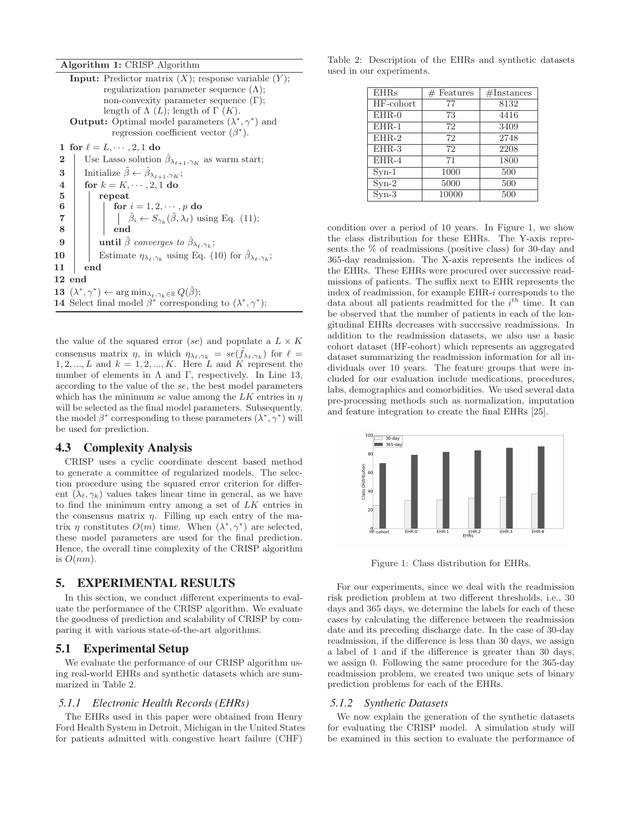**Algorithm 1:** CRISP Algorithm

**Input:** Predictor matrix  $(X)$ ; response variable  $(Y)$ ; regularization parameter sequence  $(\Lambda)$ ; non-convexity parameter sequence  $(Γ)$ ; length of  $\Lambda(L)$ ; length of  $\Gamma(K)$ . **Output:** Optimal model parameters  $(\lambda^*, \gamma^*)$  and regression coefficient vector  $(\beta^*)$ . **1** for  $\ell = L, \dots, 2, 1$  do **2** Use Lasso solution  $\hat{\beta}_{\lambda_{\ell+1},\gamma_K}$  as warm start; **3** Initialize  $\tilde{\beta} \leftarrow \hat{\beta}_{\lambda_{\ell+1}, \gamma_K};$ <br>**4** for  $k = K, \dots, 2, 1$  do  $\begin{array}{c|c} \n\mathbf{4} & \text{for } k = K, \cdots, 2, 1 \text{ do} \\
\mathbf{5} & \text{repeat}\n\end{array}$ **5 repeat 6 for**  $i = 1, 2, \dots, p$  **do**<br>**7 for**  $i = 1, 2, \dots, p$  **do**<br>*f*  $\delta_i \leftarrow S_{\infty}$  ( $\tilde{\beta}, \lambda_{\ell}$ ) us **7 a b c**  $\hat{\beta}_i \leftarrow S_{\gamma_k}(\tilde{\beta}, \lambda_\ell)$  using Eq. (11); **9 until**  $\tilde{\beta}$  *converges to*  $\hat{\beta}_{\lambda_{\ell},\gamma_{k}}$ ; **10** Estimate  $\eta_{\lambda_{\ell},\gamma_{k}}$  using Eq. (10) for  $\hat{\beta}_{\lambda_{\ell},\gamma_{k}}$ ; **11 end 12 end 13**  $(\lambda^*, \gamma^*) \leftarrow \arg \min_{\lambda_\ell, \gamma_k \in \mathbb{R}} Q(\beta);$ **14** Select final model  $\beta^*$  corresponding to  $(\lambda^*, \gamma^*)$ ;

the value of the squared error (se) and populate a  $L \times K$ consensus matrix  $\eta$ , in which  $\eta_{\lambda_{\ell},\gamma_k} = se(\hat{f}_{\lambda_{\ell},\gamma_k})$  for  $\ell =$  $1, 2, \ldots, L$  and  $k = 1, 2, \ldots, K$ . Here L and K represent the number of elements in  $\Lambda$  and  $\Gamma$ , respectively. In Line 13, according to the value of the se, the best model parameters which has the minimum se value among the  $LK$  entries in  $\eta$ will be selected as the final model parameters. Subsequently, the model  $\beta^*$  corresponding to these parameters  $(\lambda^*, \gamma^*)$  will be used for prediction.

#### 4.3 Complexity Analysis

CRISP uses a cyclic coordinate descent based method to generate a committee of regularized models. The selection procedure using the squared error criterion for different  $(\lambda_{\ell}, \gamma_k)$  values takes linear time in general, as we have to find the minimum entry among a set of LK entries in the consensus matrix  $\eta$ . Filling up each entry of the matrix  $\eta$  constitutes  $O(m)$  time. When  $(\lambda^*, \gamma^*)$  are selected, these model parameters are used for the final prediction. Hence, the overall time complexity of the CRISP algorithm is  $O(nm)$ .

## 5. EXPERIMENTAL RESULTS

In this section, we conduct different experiments to evaluate the performance of the CRISP algorithm. We evaluate the goodness of prediction and scalability of CRISP by comparing it with various state-of-the-art algorithms.

## 5.1 Experimental Setup

We evaluate the performance of our CRISP algorithm using real-world EHRs and synthetic datasets which are summarized in Table 2.

#### *5.1.1 Electronic Health Records (EHRs)*

The EHRs used in this paper were obtained from Henry Ford Health System in Detroit, Michigan in the United States for patients admitted with congestive heart failure (CHF)

Table 2: Description of the EHRs and synthetic datasets used in our experiments.

| <b>EHRs</b>       | $#$ Features | #Instantes |
|-------------------|--------------|------------|
| $HF$ -cohort      | 77           | 8132       |
| $EHR-0$           | 73           | 4416       |
| $EHR-1$           | 72           | 3409       |
| $EHR-2$           | 72           | 2748       |
| $EHR-3$           | 72           | 2208       |
| $EHR-4$           | 71           | 1800       |
| $Svn-1$           | 1000         | 500        |
| $S_{\text{yn-2}}$ | 5000         | 500        |
| $Syn-3$           | 10000        | 500        |

condition over a period of 10 years. In Figure 1, we show the class distribution for these EHRs. The Y-axis represents the % of readmissions (positive class) for 30-day and 365-day readmission. The X-axis represents the indices of the EHRs. These EHRs were procured over successive readmissions of patients. The suffix next to EHR represents the index of readmission, for example EHR-i corresponds to the data about all patients readmitted for the  $i^{th}$  time. It can be observed that the number of patients in each of the longitudinal EHRs decreases with successive readmissions. In addition to the readmission datasets, we also use a basic cohort dataset (HF-cohort) which represents an aggregated dataset summarizing the readmission information for all individuals over 10 years. The feature groups that were included for our evaluation include medications, procedures, labs, demographics and comorbidities. We used several data pre-processing methods such as normalization, imputation and feature integration to create the final EHRs [25].



Figure 1: Class distribution for EHRs.

For our experiments, since we deal with the readmission risk prediction problem at two different thresholds, i.e., 30 days and 365 days, we determine the labels for each of these cases by calculating the difference between the readmission date and its preceding discharge date. In the case of 30-day readmission, if the difference is less than 30 days, we assign a label of 1 and if the difference is greater than 30 days, we assign 0. Following the same procedure for the 365-day readmission problem, we created two unique sets of binary prediction problems for each of the EHRs.

#### *5.1.2 Synthetic Datasets*

We now explain the generation of the synthetic datasets for evaluating the CRISP model. A simulation study will be examined in this section to evaluate the performance of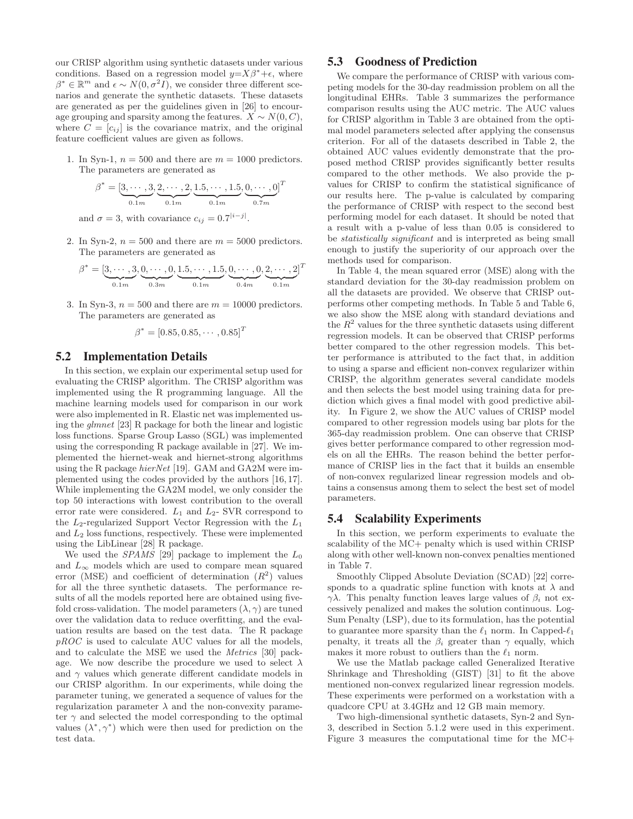our CRISP algorithm using synthetic datasets under various conditions. Based on a regression model  $y=X\beta^*+\epsilon$ , where  $\beta^* \in \mathbb{R}^m$  and  $\epsilon \sim N(0, \sigma^2 I)$ , we consider three different scenarios and generate the synthetic datasets. These datasets are generated as per the guidelines given in [26] to encourage grouping and sparsity among the features.  $X \sim N(0, C)$ , where  $C = [c_{ij}]$  is the covariance matrix, and the original feature coefficient values are given as follows.

1. In Syn-1,  $n = 500$  and there are  $m = 1000$  predictors. The parameters are generated as

$$
\beta^* = [\underbrace{3, \cdots, 3}_{0.1m}, \underbrace{2, \cdots, 2}_{0.1m}, \underbrace{1.5, \cdots, 1.5}_{0.1m}, \underbrace{0, \cdots, 0}_{0.7m}]^T
$$

and  $\sigma = 3$ , with covariance  $c_{ij} = 0.7^{|i-j|}$ .

2. In Syn-2,  $n = 500$  and there are  $m = 5000$  predictors. The parameters are generated as

$$
\beta^* = [\underbrace{3, \cdots, 3}_{0.1m}, \underbrace{0, \cdots, 0}_{0.3m}, \underbrace{1.5, \cdots, 1.5}_{0.1m}, \underbrace{0, \cdots, 0}_{0.4m}, \underbrace{2, \cdots, 2}_{0.1m}]^T
$$

3. In Syn-3,  $n = 500$  and there are  $m = 10000$  predictors. The parameters are generated as

$$
\beta^* = [0.85, 0.85, \cdots, 0.85]^T
$$

#### 5.2 Implementation Details

In this section, we explain our experimental setup used for evaluating the CRISP algorithm. The CRISP algorithm was implemented using the R programming language. All the machine learning models used for comparison in our work were also implemented in R. Elastic net was implemented using the *glmnet* [23] R package for both the linear and logistic loss functions. Sparse Group Lasso (SGL) was implemented using the corresponding R package available in [27]. We implemented the hiernet-weak and hiernet-strong algorithms using the R package *hierNet* [19]. GAM and GA2M were implemented using the codes provided by the authors [16, 17]. While implementing the GA2M model, we only consider the top 50 interactions with lowest contribution to the overall error rate were considered.  $L_1$  and  $L_2$ - SVR correspond to the  $L_2$ -regularized Support Vector Regression with the  $L_1$ and  $L_2$  loss functions, respectively. These were implemented using the LibLinear [28] R package.

We used the *SPAMS* [29] package to implement the  $L_0$ and  $L_{\infty}$  models which are used to compare mean squared error (MSE) and coefficient of determination  $(R^2)$  values for all the three synthetic datasets. The performance results of all the models reported here are obtained using fivefold cross-validation. The model parameters  $(\lambda, \gamma)$  are tuned over the validation data to reduce overfitting, and the evaluation results are based on the test data. The R package *pROC* is used to calculate AUC values for all the models, and to calculate the MSE we used the *Metrics* [30] package. We now describe the procedure we used to select  $\lambda$ and  $\gamma$  values which generate different candidate models in our CRISP algorithm. In our experiments, while doing the parameter tuning, we generated a sequence of values for the regularization parameter  $\lambda$  and the non-convexity parameter  $\gamma$  and selected the model corresponding to the optimal values  $(\lambda^*, \gamma^*)$  which were then used for prediction on the test data.

## 5.3 Goodness of Prediction

We compare the performance of CRISP with various competing models for the 30-day readmission problem on all the longitudinal EHRs. Table 3 summarizes the performance comparison results using the AUC metric. The AUC values for CRISP algorithm in Table 3 are obtained from the optimal model parameters selected after applying the consensus criterion. For all of the datasets described in Table 2, the obtained AUC values evidently demonstrate that the proposed method CRISP provides significantly better results compared to the other methods. We also provide the pvalues for CRISP to confirm the statistical significance of our results here. The p-value is calculated by comparing the performance of CRISP with respect to the second best performing model for each dataset. It should be noted that a result with a p-value of less than 0.05 is considered to be *statistically significant* and is interpreted as being small enough to justify the superiority of our approach over the methods used for comparison.

In Table 4, the mean squared error (MSE) along with the standard deviation for the 30-day readmission problem on all the datasets are provided. We observe that CRISP outperforms other competing methods. In Table 5 and Table 6, we also show the MSE along with standard deviations and the  $R^2$  values for the three synthetic datasets using different regression models. It can be observed that CRISP performs better compared to the other regression models. This better performance is attributed to the fact that, in addition to using a sparse and efficient non-convex regularizer within CRISP, the algorithm generates several candidate models and then selects the best model using training data for prediction which gives a final model with good predictive ability. In Figure 2, we show the AUC values of CRISP model compared to other regression models using bar plots for the 365-day readmission problem. One can observe that CRISP gives better performance compared to other regression models on all the EHRs. The reason behind the better performance of CRISP lies in the fact that it builds an ensemble of non-convex regularized linear regression models and obtains a consensus among them to select the best set of model parameters.

#### 5.4 Scalability Experiments

In this section, we perform experiments to evaluate the scalability of the MC+ penalty which is used within CRISP along with other well-known non-convex penalties mentioned in Table 7.

Smoothly Clipped Absolute Deviation (SCAD) [22] corresponds to a quadratic spline function with knots at  $\lambda$  and  $γλ$ . This penalty function leaves large values of  $β<sub>i</sub>$  not excessively penalized and makes the solution continuous. Log-Sum Penalty (LSP), due to its formulation, has the potential to guarantee more sparsity than the  $\ell_1$  norm. In Capped- $\ell_1$ penalty, it treats all the  $\beta_i$  greater than  $\gamma$  equally, which makes it more robust to outliers than the  $\ell_1$  norm.

We use the Matlab package called Generalized Iterative Shrinkage and Thresholding (GIST) [31] to fit the above mentioned non-convex regularized linear regression models. These experiments were performed on a workstation with a quadcore CPU at 3.4GHz and 12 GB main memory.

Two high-dimensional synthetic datasets, Syn-2 and Syn-3, described in Section 5.1.2 were used in this experiment. Figure 3 measures the computational time for the MC+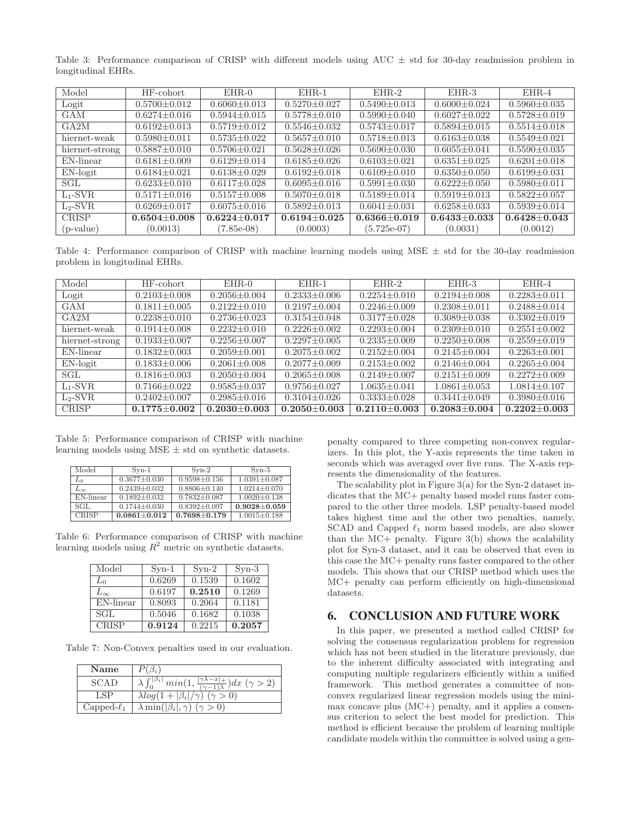Table 3: Performance comparison of CRISP with different models using AUC  $\pm$  std for 30-day readmission problem in longitudinal EHRs.

| Model          | HF-cohort          | $EHR-0$            | $EHR-1$            | $EHR-2$            | EHR-3              | $EHR-4$            |
|----------------|--------------------|--------------------|--------------------|--------------------|--------------------|--------------------|
| Logit          | $0.5700 + 0.012$   | $0.6060 + 0.013$   | $0.5270 + 0.027$   | $0.5490 + 0.013$   | $0.6000 + 0.024$   | $0.5960 \pm 0.035$ |
| <b>GAM</b>     | $0.6274 \pm 0.016$ | $0.5944 \pm 0.015$ | $0.5778 \pm 0.010$ | $0.5990 \pm 0.040$ | $0.6027 + 0.022$   | $0.5728 \pm 0.019$ |
| GA2M           | $0.6192 + 0.013$   | $0.5719 + 0.012$   | $0.5546 + 0.032$   | $0.5743 + 0.017$   | $0.5894 + 0.015$   | $0.5514 + 0.018$   |
| hiernet-weak   | $0.5980 + 0.011$   | $0.5735 + 0.022$   | $0.5657 + 0.010$   | $0.5718 + 0.013$   | $0.6163 + 0.038$   | $0.5549 + 0.021$   |
| hiernet-strong | $0.5887 + 0.010$   | $0.5706 + 0.021$   | $0.5628 + 0.026$   | $0.5690 \pm 0.030$ | $0.6055 + 0.041$   | $0.5590 \pm 0.035$ |
| EN-linear      | $0.6181 \pm 0.009$ | $0.6129 + 0.014$   | $0.6185 + 0.026$   | $0.6103 + 0.021$   | $0.6351 + 0.025$   | $0.6201 \pm 0.018$ |
| $EN-logit$     | $0.6184 + 0.021$   | $0.6138 + 0.029$   | $0.6192 + 0.018$   | $0.6109 + 0.010$   | $0.6350 + 0.050$   | $0.6199 \pm 0.031$ |
| SGL.           | $0.6233 + 0.010$   | $0.6117 + 0.028$   | $0.6095 + 0.016$   | $0.5991 + 0.030$   | $0.6222 + 0.050$   | $0.5980 + 0.011$   |
| $L_1$ -SVR     | $0.5171 \pm 0.016$ | $0.5157 \pm 0.008$ | $0.5070 \pm 0.018$ | $0.5189 + 0.014$   | $0.5919 \pm 0.013$ | $0.5822 \pm 0.057$ |
| $L_2$ -SVR     | $0.6269 \pm 0.017$ | $0.6075 \pm 0.016$ | $0.5892 \pm 0.013$ | $0.6041 \pm 0.031$ | $0.6258 \pm 0.033$ | $0.5939 \pm 0.014$ |
| <b>CRISP</b>   | $0.6504 + 0.008$   | $0.6224 + 0.017$   | $0.6194 + 0.025$   | $0.6366 + 0.019$   | $0.6433 + 0.033$   | $0.6428 + 0.043$   |
| $(p-value)$    | (0.0013)           | $(7.85e-08)$       | (0.0003)           | $(5.725e-07)$      | (0.0031)           | (0.0012)           |

Table 4: Performance comparison of CRISP with machine learning models using  $MSE \pm std$  for the 30-day readmission problem in longitudinal EHRs.

| Model          | HF-cohort          | $EHR-0$            | $EHR-1$            | $EHR-2$            | EHR-3              | $EHR-4$            |
|----------------|--------------------|--------------------|--------------------|--------------------|--------------------|--------------------|
| Logit          | $0.2103 + 0.008$   | $0.2056 + 0.004$   | $0.2333 + 0.006$   | $0.2254 + 0.010$   | $0.2194 + 0.008$   | $0.2283 + 0.011$   |
| GAM            | $0.1811 + 0.005$   | $0.2122 + 0.010$   | $0.2197 + 0.004$   | $0.2246 \pm 0.009$ | $0.2308 \pm 0.011$ | $0.2488 + 0.014$   |
| GA2M           | $0.2238 + 0.010$   | $0.2736 + 0.023$   | $0.3154 + 0.048$   | $0.3177 + 0.028$   | $0.3089 + 0.038$   | $0.3302 \pm 0.019$ |
| hiernet-weak   | $0.1914 + 0.008$   | $0.2232 + 0.010$   | $0.2226 + 0.002$   | $0.2293 + 0.004$   | $0.2309 + 0.010$   | $0.2551 + 0.002$   |
| hiernet-strong | $0.1933 + 0.007$   | $0.2256 \pm 0.007$ | $0.2297 + 0.005$   | $0.2335 + 0.009$   | $0.2250 + 0.008$   | $0.2559 + 0.019$   |
| EN-linear      | $0.1832 + 0.003$   | $0.2059 + 0.001$   | $0.2075 + 0.002$   | $0.2152 + 0.004$   | $0.2145 + 0.004$   | $0.2263 + 0.001$   |
| $EN-logit$     | $0.1833 + 0.006$   | $0.2061 + 0.008$   | $0.2077 + 0.009$   | $0.2153 + 0.002$   | $0.2146 + 0.004$   | $0.2265 + 0.004$   |
| SGL            | $0.1816 + 0.003$   | $0.2050 + 0.004$   | $0.2065 + 0.008$   | $0.2149 \pm 0.007$ | $0.2151 + 0.009$   | $0.2272 + 0.009$   |
| $L_1$ -SVR     | $0.7166 + 0.022$   | $0.9585 + 0.037$   | $0.9756 + 0.027$   | $1.0635 + 0.041$   | $1.0861 + 0.053$   | $1.0814 + 0.107$   |
| $L_2-SVR$      | $0.2402 \pm 0.007$ | $0.2985 + 0.016$   | $0.3104 \pm 0.026$ | $0.3333 \pm 0.028$ | $0.3441 + 0.049$   | $0.3980 \pm 0.016$ |
| <b>CRISP</b>   | $0.1775 + 0.002$   | $0.2030 + 0.003$   | $0.2050 \pm 0.003$ | $0.2110 + 0.003$   | $0.2083 + 0.004$   | $0.2202 + 0.003$   |

Table 5: Performance comparison of CRISP with machine learning models using  $MSE \pm std$  on synthetic datasets.

| Model        | $Svn-1$            | $Syn-2$            | $Syn-3$            |
|--------------|--------------------|--------------------|--------------------|
| $L_0$        | $0.3677 \pm 0.030$ | $0.9598 \pm 0.156$ | $1.0391 \pm 0.087$ |
| $L_{\infty}$ | $0.2439 \pm 0.032$ | $0.8806 \pm 0.140$ | $1.0214 \pm 0.070$ |
| EN-linear    | $0.1892 \pm 0.032$ | $0.7832 \pm 0.087$ | $1.0020 \pm 0.138$ |
| SGL          | $0.1744 \pm 0.030$ | $0.8392 \pm 0.097$ | $0.9028 + 0.059$   |
| <b>CRISP</b> | $0.0861 \pm 0.012$ | $0.7698 \pm 0.179$ | $1.0015 \pm 0.188$ |

Table 6: Performance comparison of CRISP with machine learning models using  $R^2$  metric on synthetic datasets.

| Model                   | $Syn-1$ | $Syn-2$ | $Syn-3$ |
|-------------------------|---------|---------|---------|
| $L_0$                   | 0.6269  | 0.1539  | 0.1602  |
| $L_{\infty}$            | 0.6197  | 0.2510  | 0.1269  |
| $\overline{EN}$ -linear | 0.8093  | 0.2064  | 0.1181  |
| SGL                     | 0.5046  | 0.1682  | 0.1038  |
| <b>CRISP</b>            | 0.9124  | 0.2215  | 0.2057  |

Table 7: Non-Convex penalties used in our evaluation.

| Name             | $(\beta_i)$                                                                                                                 |
|------------------|-----------------------------------------------------------------------------------------------------------------------------|
| <b>SCAD</b>      | $\int_0^{\lvert \beta_i \rvert} min(1, \frac{\lvert \gamma \lambda - x \rvert +}{(1 - \gamma) \lambda}) dx \; (\gamma > 2)$ |
| LSP              | $\lambda log(1+ \beta_i /\gamma)$ ( $\gamma > 0$ )                                                                          |
| Capped- $\ell_1$ | $\lambda \min( \beta_i , \gamma)$ $(\gamma > 0)$                                                                            |

penalty compared to three competing non-convex regularizers. In this plot, the Y-axis represents the time taken in seconds which was averaged over five runs. The X-axis represents the dimensionality of the features.

The scalability plot in Figure 3(a) for the Syn-2 dataset indicates that the MC+ penalty based model runs faster compared to the other three models. LSP penalty-based model takes highest time and the other two penalties, namely, SCAD and Capped  $\ell_1$  norm based models, are also slower than the MC+ penalty. Figure 3(b) shows the scalability plot for Syn-3 dataset, and it can be observed that even in this case the MC+ penalty runs faster compared to the other models. This shows that our CRISP method which uses the MC+ penalty can perform efficiently on high-dimensional datasets.

# 6. CONCLUSION AND FUTURE WORK

In this paper, we presented a method called CRISP for solving the consensus regularization problem for regression which has not been studied in the literature previously, due to the inherent difficulty associated with integrating and computing multiple regularizers efficiently within a unified framework. This method generates a committee of nonconvex regularized linear regression models using the minimax concave plus (MC+) penalty, and it applies a consensus criterion to select the best model for prediction. This method is efficient because the problem of learning multiple candidate models within the committee is solved using a gen-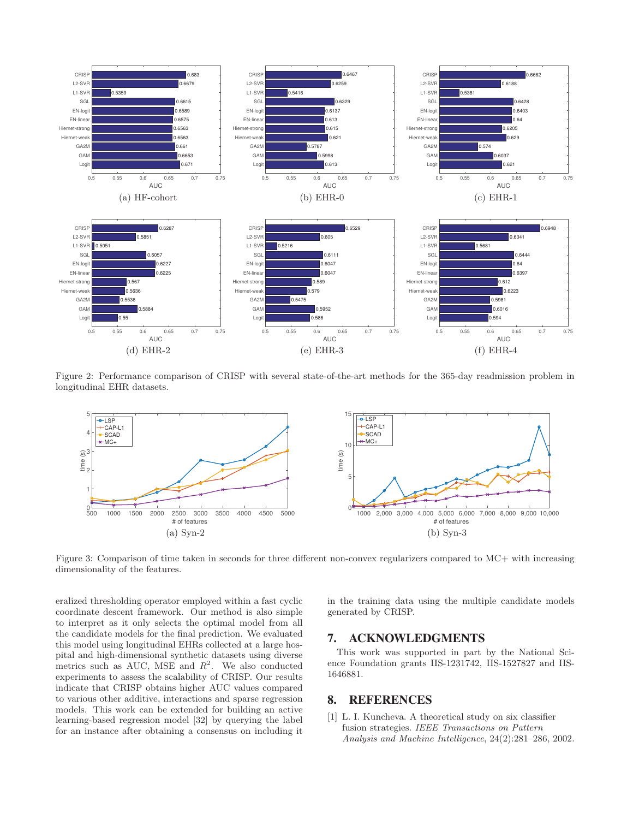

Figure 2: Performance comparison of CRISP with several state-of-the-art methods for the 365-day readmission problem in longitudinal EHR datasets.



Figure 3: Comparison of time taken in seconds for three different non-convex regularizers compared to MC+ with increasing dimensionality of the features.

eralized thresholding operator employed within a fast cyclic coordinate descent framework. Our method is also simple to interpret as it only selects the optimal model from all the candidate models for the final prediction. We evaluated this model using longitudinal EHRs collected at a large hospital and high-dimensional synthetic datasets using diverse metrics such as AUC, MSE and  $R^2$ . We also conducted experiments to assess the scalability of CRISP. Our results indicate that CRISP obtains higher AUC values compared to various other additive, interactions and sparse regression models. This work can be extended for building an active learning-based regression model [32] by querying the label for an instance after obtaining a consensus on including it

in the training data using the multiple candidate models generated by CRISP.

# 7. ACKNOWLEDGMENTS

This work was supported in part by the National Science Foundation grants IIS-1231742, IIS-1527827 and IIS-1646881.

# 8. REFERENCES

[1] L. I. Kuncheva. A theoretical study on six classifier fusion strategies. *IEEE Transactions on Pattern Analysis and Machine Intelligence*, 24(2):281–286, 2002.